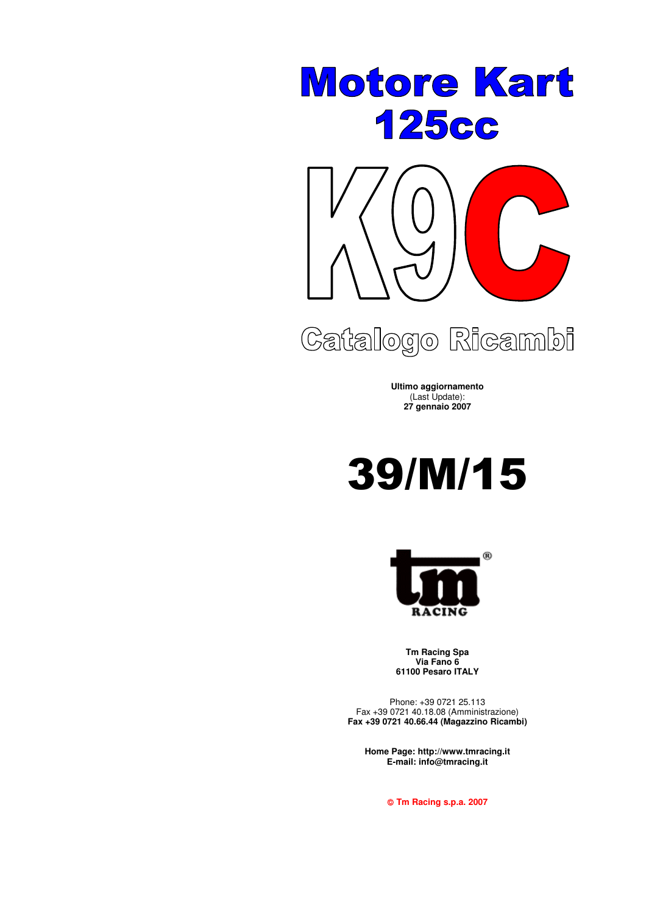



# Catalogo Ricambi

**Ultimo aggiornamento** (Last Update): **27 gennaio 2007**





**Tm Racing Spa Via Fano 6 61100 Pesaro ITALY**

Phone: +39 0721 25.113 Fax +39 0721 40.18.08 (Amministrazione) **Fax +39 0721 40.66.44 (Magazzino Ricambi)**

**Home Page: http://www.tmracing.it E-mail: info@tmracing.it**

**Tm Racing s.p.a. 2007**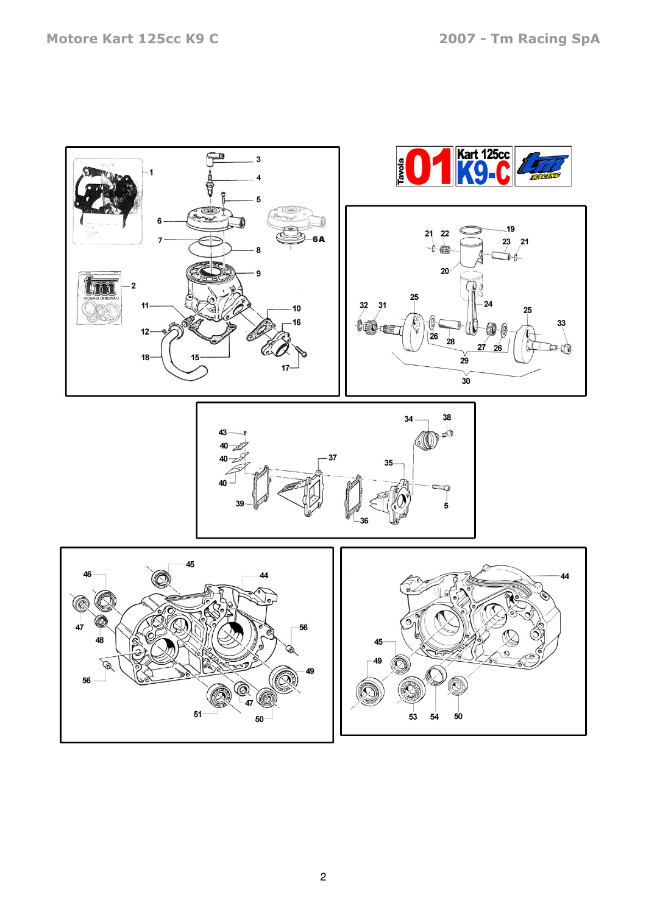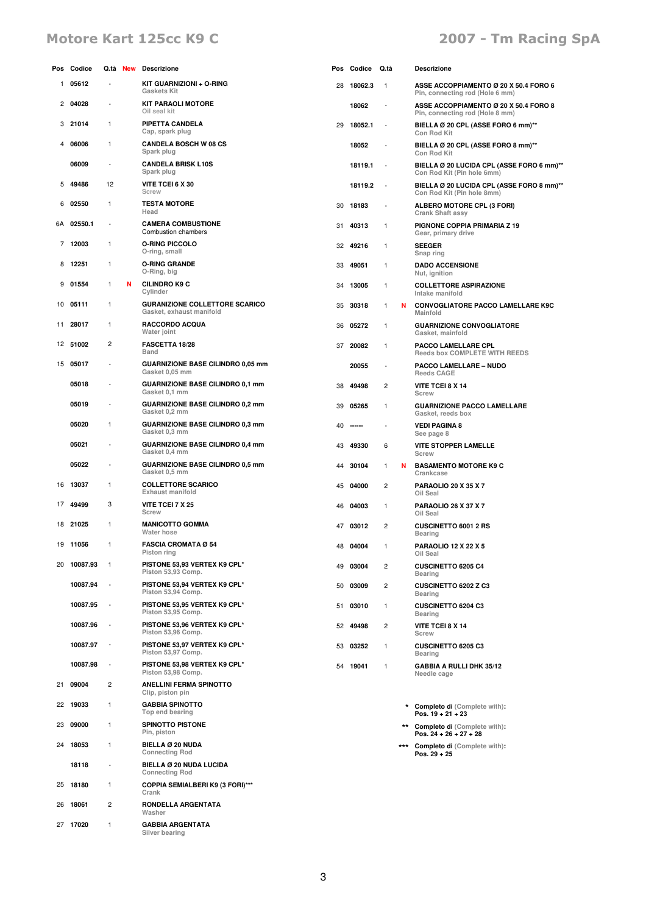# Motore Kart 125cc K9 C and the Control of the 2007 - Tm Racing SpA

|                | Pos Codice  |                          |   | Q.tà New Descrizione                                              |    | Pos Codice | Q.tà                     |   | Descrizione                                                              |
|----------------|-------------|--------------------------|---|-------------------------------------------------------------------|----|------------|--------------------------|---|--------------------------------------------------------------------------|
| 1              | 05612       | ÷,                       |   | KIT GUARNIZIONI + O-RING<br><b>Gaskets Kit</b>                    | 28 | 18062.3    | $\mathbf{1}$             |   | ASSE ACCOPPIAMENTO Ø 20 X 50.4 FORO 6<br>Pin, connecting rod (Hole 6 mm) |
| 2              | 04028       | $\blacksquare$           |   | <b>KIT PARAOLI MOTORE</b><br>Oil seal kit                         |    | 18062      | $\overline{\phantom{a}}$ |   | ASSE ACCOPPIAMENTO Ø 20 X 50.4 FORO 8<br>Pin, connecting rod (Hole 8 mm) |
| 3              | 21014       | $\mathbf{1}$             |   | PIPETTA CANDELA<br>Cap, spark plug                                | 29 | 18052.1    | $\overline{\phantom{a}}$ |   | BIELLA Ø 20 CPL (ASSE FORO 6 mm)**<br>Con Rod Kit                        |
| 4              | 06006       | $\mathbf{1}$             |   | <b>CANDELA BOSCH W 08 CS</b><br>Spark plug                        |    | 18052      |                          |   | BIELLA Ø 20 CPL (ASSE FORO 8 mm)**<br>Con Rod Kit                        |
|                | 06009       | $\sim$                   |   | <b>CANDELA BRISK L10S</b><br>Spark plug                           |    | 18119.1    | ÷,                       |   | BIELLA Ø 20 LUCIDA CPL (ASSE FORO 6 mm)**<br>Con Rod Kit (Pin hole 6mm)  |
| 5              | 49486       | 12                       |   | VITE TCEI 6 X 30<br>Screw                                         |    | 18119.2    | $\overline{\phantom{a}}$ |   | BIELLA Ø 20 LUCIDA CPL (ASSE FORO 8 mm)**<br>Con Rod Kit (Pin hole 8mm)  |
| 6              | 02550       | $\mathbf{1}$             |   | <b>TESTA MOTORE</b><br>Head                                       | 30 | 18183      | $\overline{\phantom{a}}$ |   | ALBERO MOTORE CPL (3 FORI)<br>Crank Shaft assy                           |
|                | 6A 02550.1  | ÷,                       |   | <b>CAMERA COMBUSTIONE</b><br>Combustion chambers                  | 31 | 40313      | 1                        |   | PIGNONE COPPIA PRIMARIA Z 19<br>Gear, primary drive                      |
| $\overline{7}$ | 12003       | $\mathbf{1}$             |   | <b>O-RING PICCOLO</b><br>O-ring, small                            | 32 | 49216      | 1                        |   | <b>SEEGER</b><br>Snap ring                                               |
| 8              | 12251       | 1                        |   | <b>O-RING GRANDE</b><br>O-Ring, big                               | 33 | 49051      | 1                        |   | <b>DADO ACCENSIONE</b><br>Nut, ignition                                  |
| 9              | 01554       | 1                        | N | <b>CILINDRO K9 C</b><br>Cylinder                                  | 34 | 13005      | 1                        |   | <b>COLLETTORE ASPIRAZIONE</b><br>Intake manifold                         |
|                | 10 05111    | $\mathbf{1}$             |   | <b>GURANIZIONE COLLETTORE SCARICO</b><br>Gasket, exhaust manifold | 35 | 30318      | 1                        | N | <b>CONVOGLIATORE PACCO LAMELLARE K9C</b><br>Mainfold                     |
| 11             | 28017       | $\mathbf{1}$             |   | <b>RACCORDO ACQUA</b><br>Water joint                              | 36 | 05272      | 1                        |   | <b>GUARNIZIONE CONVOGLIATORE</b><br>Gasket, mainfold                     |
| 12             | 51002       | $\overline{c}$           |   | <b>FASCETTA 18/28</b><br>Band                                     | 37 | 20082      | 1                        |   | PACCO LAMELLARE CPL<br><b>Reeds box COMPLETE WITH REEDS</b>              |
| 15             | 05017       | $\sim$                   |   | GUARNIZIONE BASE CILINDRO 0,05 mm<br>Gasket 0,05 mm               |    | 20055      | $\sim$                   |   | PACCO LAMELLARE - NUDO<br><b>Reeds CAGE</b>                              |
|                | 05018       | $\blacksquare$           |   | <b>GUARNIZIONE BASE CILINDRO 0,1 mm</b><br>Gasket 0,1 mm          | 38 | 49498      | $\overline{\mathbf{c}}$  |   | VITE TCEI 8 X 14<br>Screw                                                |
|                | 05019       | $\overline{\phantom{a}}$ |   | <b>GUARNIZIONE BASE CILINDRO 0,2 mm</b><br>Gasket 0,2 mm          | 39 | 05265      | 1                        |   | <b>GUARNIZIONE PACCO LAMELLARE</b><br>Gasket, reeds box                  |
|                | 05020       | $\mathbf{1}$             |   | <b>GUARNIZIONE BASE CILINDRO 0,3 mm</b><br>Gasket 0,3 mm          | 40 |            |                          |   | <b>VEDI PAGINA 8</b><br>See page 8                                       |
|                | 05021       | ٠                        |   | <b>GUARNIZIONE BASE CILINDRO 0,4 mm</b><br>Gasket 0,4 mm          | 43 | 49330      | 6                        |   | <b>VITE STOPPER LAMELLE</b><br><b>Screw</b>                              |
|                | 05022       | $\blacksquare$           |   | <b>GUARNIZIONE BASE CILINDRO 0,5 mm</b><br>Gasket 0,5 mm          | 44 | 30104      | 1                        | N | <b>BASAMENTO MOTORE K9 C</b><br>Crankcase                                |
| 16             | 13037       | $\mathbf{1}$             |   | <b>COLLETTORE SCARICO</b><br><b>Exhaust manifold</b>              | 45 | 04000      | 2                        |   | <b>PARAOLIO 20 X 35 X 7</b><br>Oil Seal                                  |
| 17             | 49499       | 3                        |   | VITE TCEI 7 X 25<br><b>Screw</b>                                  | 46 | 04003      | 1                        |   | <b>PARAOLIO 26 X 37 X 7</b><br>Oil Seal                                  |
|                | 18 21025    | 1                        |   | <b>MANICOTTO GOMMA</b><br>Water hose                              | 47 | 03012      | 2                        |   | CUSCINETTO 6001 2 RS<br>Bearing                                          |
|                | 19 11056    | 1                        |   | <b>FASCIA CROMATA Ø 54</b><br>Piston ring                         |    | 48 04004   | $\mathbf{1}$             |   | <b>PARAOLIO 12 X 22 X 5</b><br>Oil Seal                                  |
|                | 20 10087.93 | -1                       |   | PISTONE 53,93 VERTEX K9 CPL*<br>Piston 53,93 Comp.                | 49 | 03004      | 2                        |   | <b>CUSCINETTO 6205 C4</b><br>Bearing                                     |
|                | 10087.94    | $\overline{\phantom{a}}$ |   | PISTONE 53,94 VERTEX K9 CPL*<br>Piston 53,94 Comp.                | 50 | 03009      | 2                        |   | <b>CUSCINETTO 6202 Z C3</b><br>Bearing                                   |
|                | 10087.95    | $\overline{\phantom{a}}$ |   | PISTONE 53,95 VERTEX K9 CPL*<br>Piston 53,95 Comp.                | 51 | 03010      | 1                        |   | <b>CUSCINETTO 6204 C3</b><br>Bearing                                     |
|                | 10087.96    | $\overline{\phantom{a}}$ |   | PISTONE 53,96 VERTEX K9 CPL*<br>Piston 53,96 Comp.                | 52 | 49498      | 2                        |   | <b>VITE TCEI 8 X 14</b><br>Screw                                         |
|                | 10087.97    | $\sim$                   |   | PISTONE 53,97 VERTEX K9 CPL*<br>Piston 53,97 Comp.                | 53 | 03252      | 1                        |   | CUSCINETTO 6205 C3<br>Bearing                                            |
|                | 10087.98    | $\overline{\phantom{a}}$ |   | PISTONE 53,98 VERTEX K9 CPL*<br>Piston 53,98 Comp.                |    | 54 19041   | 1                        |   | <b>GABBIA A RULLI DHK 35/12</b><br>Needle cage                           |
| 21             | 09004       | $\overline{c}$           |   | <b>ANELLINI FERMA SPINOTTO</b><br>Clip, piston pin                |    |            |                          |   |                                                                          |
| 22             | 19033       | $\mathbf{1}$             |   | <b>GABBIA SPINOTTO</b><br>Top end bearing                         |    |            |                          |   | * Completo di (Complete with):<br>Pos. $19 + 21 + 23$                    |
| 23             | 09000       | $\mathbf{1}$             |   | <b>SPINOTTO PISTONE</b><br>Pin, piston                            |    |            |                          |   | ** Completo di (Complete with):<br>Pos. 24 + 26 + 27 + 28                |
| 24             | 18053       | $\mathbf{1}$             |   | BIELLA Ø 20 NUDA<br><b>Connecting Rod</b>                         |    |            |                          |   | *** Completo di (Complete with):<br>Pos. $29 + 25$                       |
|                | 18118       | $\ddot{\phantom{1}}$     |   | BIELLA Ø 20 NUDA LUCIDA<br><b>Connecting Rod</b>                  |    |            |                          |   |                                                                          |
| 25             | 18180       | 1                        |   | COPPIA SEMIALBERI K9 (3 FORI)***<br>Crank                         |    |            |                          |   |                                                                          |
|                | 26 18061    | 2                        |   | RONDELLA ARGENTATA<br>Washer                                      |    |            |                          |   |                                                                          |
|                | 27 17020    | $\mathbf{1}$             |   | <b>GABBIA ARGENTATA</b><br>Silver bearing                         |    |            |                          |   |                                                                          |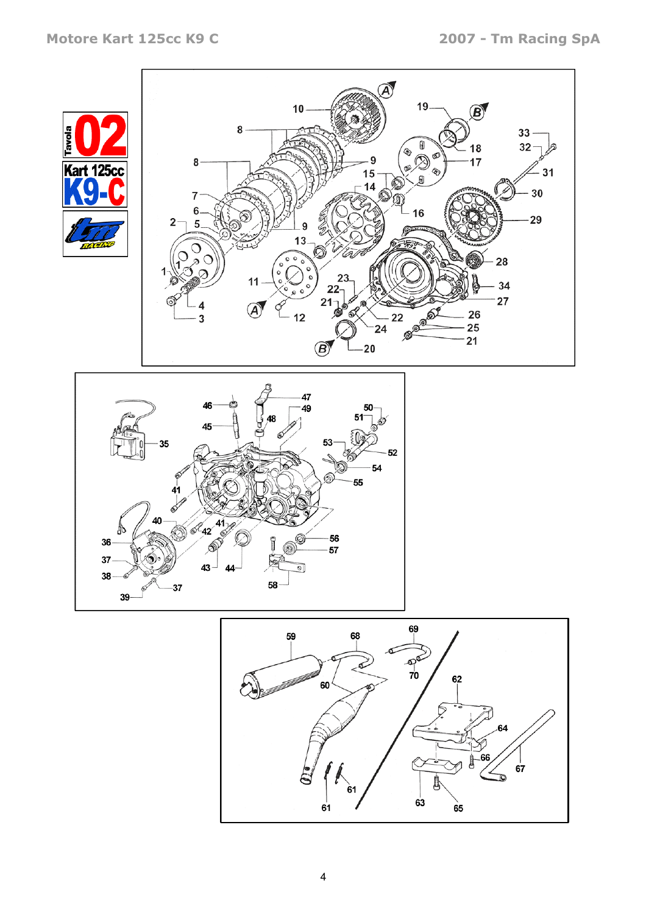





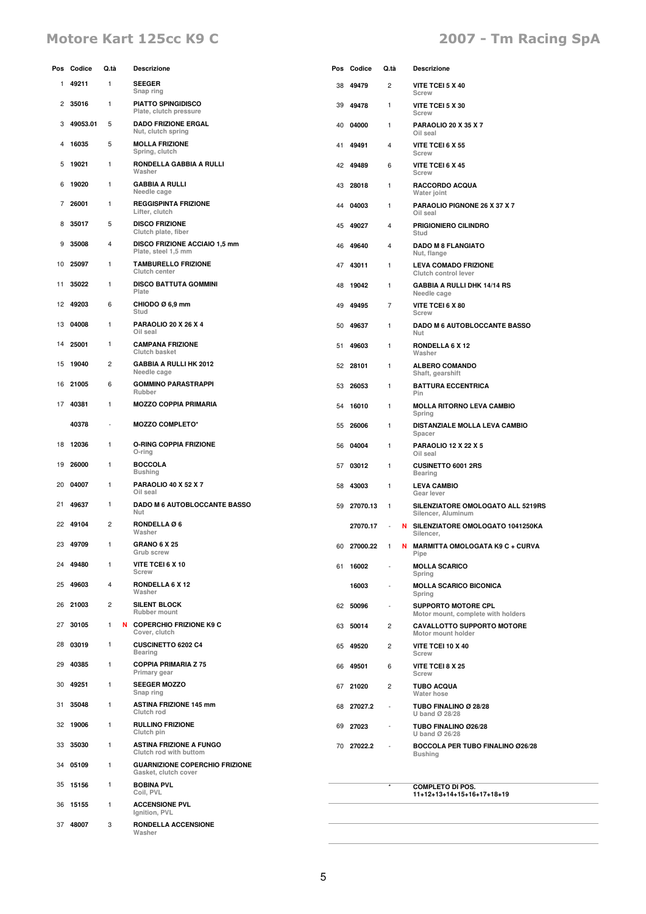# Motore Kart 125cc K9 C and the Control of the 2007 - Tm Racing SpA

|    | Pos Codice | Q.tà                 | <b>Descrizione</b>                                            |    | Pos Codice    | Q.tà                     |   | <b>Descrizione</b>                                               |
|----|------------|----------------------|---------------------------------------------------------------|----|---------------|--------------------------|---|------------------------------------------------------------------|
| 1  | 49211      | 1                    | <b>SEEGER</b><br>Snap ring                                    | 38 | 49479         | 2                        |   | VITE TCEI 5 X 40<br>Screw                                        |
| 2  | 35016      | $\mathbf{1}$         | <b>PIATTO SPINGIDISCO</b><br>Plate, clutch pressure           | 39 | 49478         | 1                        |   | VITE TCEI 5 X 30<br>Screw                                        |
| З  | 49053.01   | 5                    | <b>DADO FRIZIONE ERGAL</b><br>Nut, clutch spring              | 40 | 04000         | 1                        |   | <b>PARAOLIO 20 X 35 X 7</b><br>Oil seal                          |
| 4  | 16035      | 5                    | <b>MOLLA FRIZIONE</b><br>Spring, clutch                       | 41 | 49491         | 4                        |   | VITE TCEI 6 X 55<br>Screw                                        |
| 5  | 19021      | $\mathbf{1}$         | RONDELLA GABBIA A RULLI<br>Washer                             | 42 | 49489         | 6                        |   | VITE TCEI 6 X 45<br>Screw                                        |
| 6  | 19020      | $\mathbf{1}$         | <b>GABBIA A RULLI</b><br>Needle cage                          | 43 | 28018         | 1                        |   | RACCORDO ACQUA<br>Water joint                                    |
| 7  | 26001      | $\mathbf{1}$         | <b>REGGISPINTA FRIZIONE</b><br>Lifter, clutch                 | 44 | 04003         | 1                        |   | PARAOLIO PIGNONE 26 X 37 X 7<br>Oil seal                         |
| 8  | 35017      | 5                    | <b>DISCO FRIZIONE</b><br>Clutch plate, fiber                  | 45 | 49027         | 4                        |   | PRIGIONIERO CILINDRO<br>Stud                                     |
| 9  | 35008      | 4                    | DISCO FRIZIONE ACCIAIO 1,5 mm<br>Plate, steel 1,5 mm          | 46 | 49640         | 4                        |   | <b>DADO M 8 FLANGIATO</b><br>Nut, flange                         |
| 10 | 25097      | 1                    | <b>TAMBURELLO FRIZIONE</b><br>Clutch center                   | 47 | 43011         | 1                        |   | <b>LEVA COMADO FRIZIONE</b><br>Clutch control lever              |
| 11 | 35022      | 1                    | <b>DISCO BATTUTA GOMMINI</b><br>Plate                         | 48 | 19042         | 1                        |   | <b>GABBIA A RULLI DHK 14/14 RS</b><br>Needle cage                |
| 12 | 49203      | 6                    | CHIODO Ø 6,9 mm<br>Stud                                       | 49 | 49495         | 7                        |   | VITE TCEI 6 X 80<br>Screw                                        |
| 13 | 04008      | 1                    | <b>PARAOLIO 20 X 26 X 4</b><br>Oil seal                       | 50 | 49637         | 1                        |   | <b>DADO M 6 AUTOBLOCCANTE BASSO</b><br>Nut                       |
| 14 | 25001      | 1                    | <b>CAMPANA FRIZIONE</b><br>Clutch basket                      | 51 | 49603         | 1                        |   | RONDELLA 6 X 12<br>Washer                                        |
| 15 | 19040      | $\overline{c}$       | <b>GABBIA A RULLI HK 2012</b><br>Needle cage                  | 52 | 28101         | 1                        |   | <b>ALBERO COMANDO</b><br>Shaft, gearshift                        |
| 16 | 21005      | 6                    | <b>GOMMINO PARASTRAPPI</b><br>Rubber                          | 53 | 26053         | 1                        |   | <b>BATTURA ECCENTRICA</b><br>Pin                                 |
| 17 | 40381      | 1                    | <b>MOZZO COPPIA PRIMARIA</b>                                  | 54 | 16010         | 1                        |   | <b>MOLLA RITORNO LEVA CAMBIO</b><br>Spring                       |
|    | 40378      | $\ddot{\phantom{1}}$ | <b>MOZZO COMPLETO*</b>                                        | 55 | 26006         | 1                        |   | DISTANZIALE MOLLA LEVA CAMBIO<br>Spacer                          |
| 18 | 12036      | $\mathbf{1}$         | <b>O-RING COPPIA FRIZIONE</b><br>O-ring                       | 56 | 04004         | 1                        |   | <b>PARAOLIO 12 X 22 X 5</b><br>Oil seal                          |
| 19 | 26000      | $\mathbf{1}$         | <b>BOCCOLA</b><br><b>Bushing</b>                              | 57 | 03012         | 1                        |   | <b>CUSINETTO 6001 2RS</b><br><b>Bearing</b>                      |
| 20 | 04007      | 1                    | <b>PARAOLIO 40 X 52 X 7</b><br>Oil seal                       | 58 | 43003         | 1                        |   | <b>LEVA CAMBIO</b><br>Gear lever                                 |
| 21 | 49637      | 1                    | DADO M 6 AUTOBLOCCANTE BASSO<br>Nut                           | 59 | 27070.13      | $\mathbf{1}$             |   | SILENZIATORE OMOLOGATO ALL 5219RS<br>Silencer, Aluminum          |
|    | 22 49104   | 2                    | RONDELLA Ø6<br>Washer                                         |    | 27070.17      |                          | N | SILENZIATORE OMOLOGATO 1041250KA<br>Silencer,                    |
| 23 | 49709      | 1                    | <b>GRANO 6 X 25</b><br>Grub screw                             |    | 60 27000.22 1 |                          |   | N MARMITTA OMOLOGATA K9 C + CURVA<br>Pipe                        |
| 24 | 49480      | 1                    | VITE TCEI 6 X 10<br>Screw                                     |    | 61 16002      |                          |   | <b>MOLLA SCARICO</b><br>Spring                                   |
| 25 | 49603      | 4                    | RONDELLA 6 X 12<br>Washer                                     |    | 16003         |                          |   | <b>MOLLA SCARICO BICONICA</b><br>Spring                          |
| 26 | 21003      | 2                    | <b>SILENT BLOCK</b><br>Rubber mount                           |    | 62 50096      |                          |   | <b>SUPPORTO MOTORE CPL</b><br>Motor mount, complete with holders |
| 27 | 30105      | 1                    | N COPERCHIO FRIZIONE K9 C<br>Cover, clutch                    | 63 | 50014         | $\overline{\mathbf{c}}$  |   | <b>CAVALLOTTO SUPPORTO MOTORE</b><br>Motor mount holder          |
| 28 | 03019      | 1                    | CUSCINETTO 6202 C4<br><b>Bearing</b>                          | 65 | 49520         | $\overline{c}$           |   | VITE TCEI 10 X 40<br>Screw                                       |
| 29 | 40385      | $\mathbf{1}$         | <b>COPPIA PRIMARIA Z 75</b><br>Primary gear                   | 66 | 49501         | 6                        |   | VITE TCEI 8 X 25<br>Screw                                        |
| 30 | 49251      | $\mathbf{1}$         | <b>SEEGER MOZZO</b><br>Snap ring                              |    | 67 21020      | $\overline{\mathbf{c}}$  |   | <b>TUBO ACQUA</b><br>Water hose                                  |
| 31 | 35048      | $\mathbf{1}$         | <b>ASTINA FRIZIONE 145 mm</b><br>Clutch rod                   | 68 | 27027.2       | $\overline{\phantom{a}}$ |   | TUBO FINALINO Ø 28/28<br>U band Ø 28/28                          |
|    | 32 19006   | $\mathbf{1}$         | <b>RULLINO FRIZIONE</b><br>Clutch pin                         |    | 69 27023      |                          |   | TUBO FINALINO Ø26/28<br>U band Ø 26/28                           |
| 33 | 35030      | $\mathbf{1}$         | <b>ASTINA FRIZIONE A FUNGO</b><br>Clutch rod with buttom      |    | 70 27022.2    |                          |   | BOCCOLA PER TUBO FINALINO Ø26/28<br><b>Bushing</b>               |
| 34 | 05109      | 1                    | <b>GUARNIZIONE COPERCHIO FRIZIONE</b><br>Gasket, clutch cover |    |               |                          |   |                                                                  |
|    | 35 15156   | $\mathbf{1}$         | <b>BOBINA PVL</b><br>Coil, PVL                                |    |               |                          |   | <b>COMPLETO DI POS.</b><br>11+12+13+14+15+16+17+18+19            |
|    | 36 15155   | 1                    | <b>ACCENSIONE PVL</b><br>Ignition, PVL                        |    |               |                          |   |                                                                  |
|    | 37 48007   | 3                    | RONDELLA ACCENSIONE<br>Washer                                 |    |               |                          |   |                                                                  |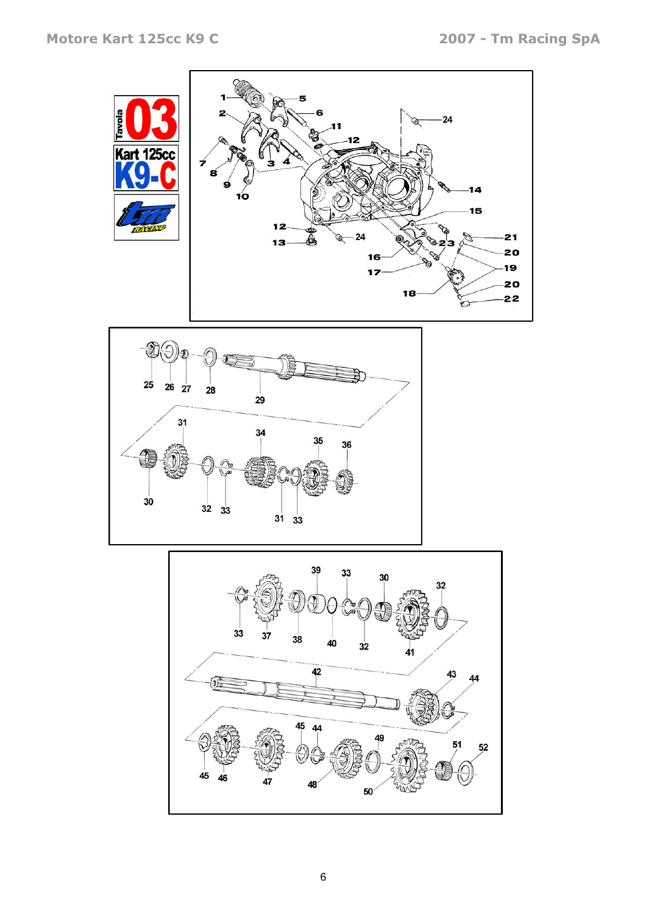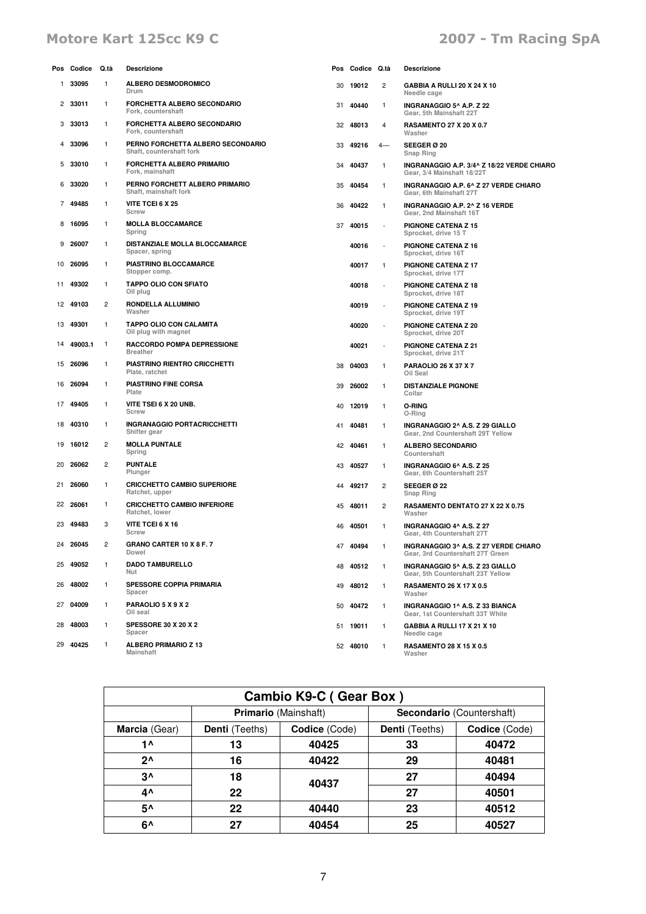# Motore Kart 125cc K9 C and the Control of the 2007 - Tm Racing SpA

| Pos | Codice   | Q.tà                    | Descrizione                                                   | Pos | Codice   | Q.tà                     | Descrizione                                                               |
|-----|----------|-------------------------|---------------------------------------------------------------|-----|----------|--------------------------|---------------------------------------------------------------------------|
| 1.  | 33095    | $\mathbf{1}$            | <b>ALBERO DESMODROMICO</b><br>Drum                            | 30  | 19012    | 2                        | GABBIA A RULLI 20 X 24 X 10<br>Needle cage                                |
| 2   | 33011    | 1                       | <b>FORCHETTA ALBERO SECONDARIO</b><br>Fork, countershaft      | 31  | 40440    | 1                        | INGRANAGGIO 5^ A.P. Z 22<br>Gear, 5th Mainshaft 22T                       |
| 3   | 33013    | 1                       | FORCHETTA ALBERO SECONDARIO<br>Fork, countershaft             | 32  | 48013    | 4                        | <b>RASAMENTO 27 X 20 X 0.7</b><br>Washer                                  |
| 4   | 33096    | 1                       | PERNO FORCHETTA ALBERO SECONDARIO<br>Shaft, countershaft fork | 33  | 49216    | 4—                       | <b>SEEGER Ø 20</b><br>Snap Ring                                           |
| 5   | 33010    | 1                       | FORCHETTA ALBERO PRIMARIO<br>Fork, mainshaft                  | 34  | 40437    | 1                        | INGRANAGGIO A.P. 3/4^ Z 18/22 VERDE CHIARO<br>Gear, 3/4 Mainshaft 18/22T  |
| 6   | 33020    | $\mathbf{1}$            | PERNO FORCHETT ALBERO PRIMARIO<br>Shaft, mainshaft fork       | 35  | 40454    | 1                        | INGRANAGGIO A.P. 6^ Z 27 VERDE CHIARO<br>Gear, 6th Mainshaft 27T          |
| 7   | 49485    | 1                       | <b>VITE TCEI 6 X 25</b><br>Screw                              | 36  | 40422    | 1                        | INGRANAGGIO A.P. 2^ Z 16 VERDE<br>Gear, 2nd Mainshaft 16T                 |
| 8   | 16095    | 1                       | <b>MOLLA BLOCCAMARCE</b><br>Spring                            | 37  | 40015    | $\tilde{\phantom{a}}$    | <b>PIGNONE CATENA Z 15</b><br>Sprocket, drive 15 T                        |
| 9   | 26007    | 1                       | DISTANZIALE MOLLA BLOCCAMARCE<br>Spacer, spring               |     | 40016    | $\overline{\phantom{a}}$ | <b>PIGNONE CATENA Z 16</b><br>Sprocket, drive 16T                         |
|     | 10 26095 | 1                       | PIASTRINO BLOCCAMARCE<br>Stopper comp.                        |     | 40017    | 1                        | <b>PIGNONE CATENA Z 17</b><br>Sprocket, drive 17T                         |
| 11. | 49302    | 1                       | <b>TAPPO OLIO CON SFIATO</b><br>Oil plug                      |     | 40018    | ÷,                       | <b>PIGNONE CATENA Z 18</b><br>Sprocket, drive 18T                         |
|     | 12 49103 | 2                       | RONDELLA ALLUMINIO<br>Washer                                  |     | 40019    | $\overline{\phantom{a}}$ | PIGNONE CATENA Z 19<br>Sprocket, drive 19T                                |
| 13  | 49301    | 1                       | TAPPO OLIO CON CALAMITA<br>Oil plug with magnet               |     | 40020    |                          | <b>PIGNONE CATENA Z 20</b><br>Sprocket, drive 20T                         |
| 14  | 49003.1  | $\mathbf{1}$            | RACCORDO POMPA DEPRESSIONE<br><b>Breather</b>                 |     | 40021    | ÷,                       | PIGNONE CATENA Z 21<br>Sprocket, drive 21T                                |
| 15  | 26096    | 1                       | PIASTRINO RIENTRO CRICCHETTI<br>Plate, ratchet                | 38  | 04003    | 1                        | <b>PARAOLIO 26 X 37 X 7</b><br>Oil Seal                                   |
| 16  | 26094    | 1                       | PIASTRINO FINE CORSA<br>Plate                                 | 39  | 26002    | 1                        | <b>DISTANZIALE PIGNONE</b><br>Collar                                      |
| 17  | 49405    | 1                       | VITE TSEI 6 X 20 UNB.<br>Screw                                | 40  | 12019    | 1                        | O-RING<br>O-Ring                                                          |
| 18  | 40310    | 1                       | INGRANAGGIO PORTACRICCHETTI<br>Shifter gear                   | 41  | 40481    | 1                        | INGRANAGGIO 2^ A.S. Z 29 GIALLO<br>Gear, 2nd Countershaft 29T Yellow      |
| 19  | 16012    | $\overline{\mathbf{c}}$ | <b>MOLLA PUNTALE</b><br>Spring                                | 42  | 40461    | 1                        | <b>ALBERO SECONDARIO</b><br>Countershaft                                  |
| 20  | 26062    | 2                       | PUNTALE<br>Plunger                                            | 43  | 40527    | 1                        | INGRANAGGIO 6^ A.S. Z 25<br>Gear, 6th Countershaft 25T                    |
| 21  | 26060    | 1                       | <b>CRICCHETTO CAMBIO SUPERIORE</b><br>Ratchet, upper          | 44  | 49217    | 2                        | <b>SEEGER Ø 22</b><br>Snap Ring                                           |
|     | 22 26061 | 1                       | <b>CRICCHETTO CAMBIO INFERIORE</b><br>Ratchet, lower          | 45  | 48011    | 2                        | RASAMENTO DENTATO 27 X 22 X 0.75<br>Washer                                |
| 23  | 49483    | 3                       | <b>VITE TCEI 6 X 16</b><br>Screw                              | 46  | 40501    | 1                        | INGRANAGGIO 4^ A.S. Z 27<br>Gear, 4th Countershaft 27T                    |
|     | 24 26045 | 2                       | <b>GRANO CARTER 10 X 8 F. 7</b><br>Dowel                      | 47  | 40494    | 1                        | INGRANAGGIO 3^ A.S. Z 27 VERDE CHIARO<br>Gear, 3rd Countershaft 27T Green |
|     | 25 49052 | 1                       | <b>DADO TAMBURELLO</b><br>Nut                                 |     | 48 40512 | 1                        | INGRANAGGIO 5^ A.S. Z 23 GIALLO<br>Gear, 5th Countershaft 23T Yellow      |
|     | 26 48002 | 1                       | SPESSORE COPPIA PRIMARIA<br>Spacer                            |     | 49 48012 | 1                        | <b>RASAMENTO 26 X 17 X 0.5</b><br>Washer                                  |
|     | 27 04009 | 1                       | PARAOLIO 5 X 9 X 2<br>Oil seal                                |     | 50 40472 | 1                        | INGRANAGGIO 1^ A.S. Z 33 BIANCA<br>Gear, 1st Countershaft 33T White       |
| 28  | 48003    | 1                       | <b>SPESSORE 30 X 20 X 2</b><br>Spacer                         |     | 51 19011 | 1                        | GABBIA A RULLI 17 X 21 X 10<br>Needle cage                                |
|     | 29 40425 | 1                       | <b>ALBERO PRIMARIO Z 13</b><br>Mainshaft                      |     | 52 48010 | 1                        | <b>RASAMENTO 28 X 15 X 0.5</b><br>Washer                                  |

| Cambio K9-C (Gear Box) |                       |                      |                                  |               |  |  |
|------------------------|-----------------------|----------------------|----------------------------------|---------------|--|--|
|                        |                       | Primario (Mainshaft) | <b>Secondario</b> (Countershaft) |               |  |  |
| Marcia (Gear)          | <b>Denti</b> (Teeths) | Codice (Code)        | <b>Denti</b> (Teeths)            | Codice (Code) |  |  |
| 1^                     | 13                    | 40425                | 33                               | 40472         |  |  |
| $2^{\wedge}$           | 16                    | 40422                | 29                               | 40481         |  |  |
| $3^{\prime}$           | 18                    | 40437                | 27                               | 40494         |  |  |
| 4۸                     | 22                    |                      | 27                               | 40501         |  |  |
| 5۸                     | 22                    | 40440                | 23                               | 40512         |  |  |
| 6^                     | 27                    | 40454                | 25                               | 40527         |  |  |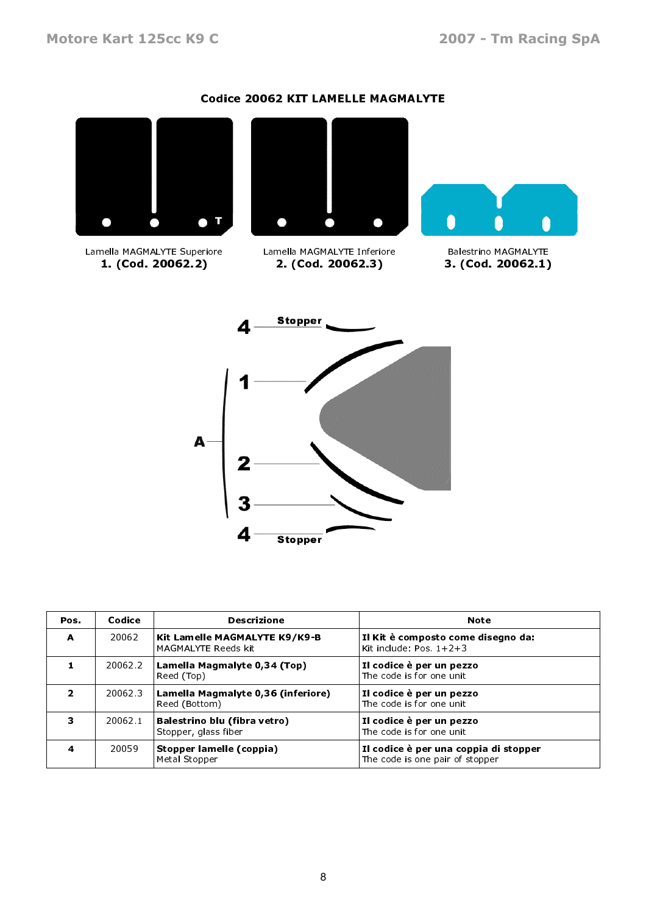### Codice 20062 KIT LAMELLE MAGMALYTE



Lamella MAGMALYTE Superiore 1. (Cod. 20062.2)



2. (Cod. 20062.3)





| Pos. | Codice<br><b>Descrizione</b> |                                                       | <b>Note</b>                                                              |  |  |
|------|------------------------------|-------------------------------------------------------|--------------------------------------------------------------------------|--|--|
| A    | 20062                        | Kit Lamelle MAGMALYTE K9/K9-B <br>MAGMALYTE Reeds kit | Il Kit è composto come disegno da:<br>Kit include: Pos. $1+2+3$          |  |  |
|      | 200622                       | Lamella Magmalyte 0,34 (Top)<br>Reed (Top)            | Il codice è per un pezzo<br>The code is for one unit                     |  |  |
| 2    | 20062.3                      | Lamella Magmalyte 0,36 (inferiore)<br>Reed (Bottom)   | Il codice è per un pezzo<br>The code is for one unit                     |  |  |
| 3.   | 20062.1                      | Balestrino blu (fibra vetro)<br>Stopper, glass fiber  | Il codice è per un pezzo<br>The code is for one unit                     |  |  |
| 4    | 20059                        | Stopper lamelle (coppia)<br>Metal Stopper             | Il codice è per una coppia di stopper<br>The code is one pair of stopper |  |  |